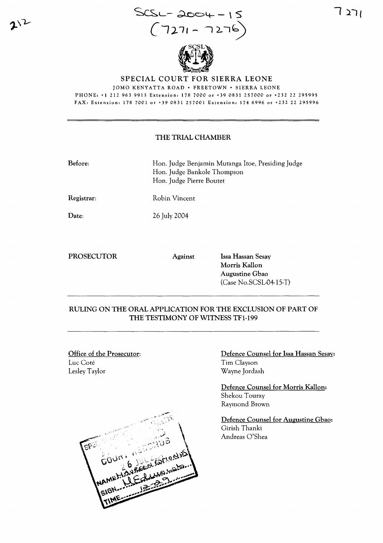



SPECIAL COURT FOR SIERRA LEONE

JOMO KENYATTA ROAD · FREETOWN · SIERRA LEONE

PHONE. +1 212 963 9915 Extension. 178 7000 or +39 0831 257000 or +232 22 295995 FAX, Extension. 178 7001 or +39 0831 257001 Extension. 174 6996 or +232 22 295996

#### THE TRIAL CHAMBER

Before: Hon. Judge Benjamin Mutanga ltoe, Presiding Judge Hon. Judge Bankole Thompson Hon. Judge Pierre Boutet

Registrar: Robin Vincent

Date:

PROSECUTOR Against Issa Hassan Sesay

26 July 2004

Morris Kallon Augustine Gbao (Case No.SCSL-04-15-T)

# RULING ON THE ORAL APPLICATION FOR THE EXCLUSION OF PART OF THE TESTIMONY OF WITNESS TF1-199

Office of the Prosecutor: Luc Coté Lesley Taylor



Defence Counsel for Issa Hassan Sesay: Tim Clayson Wayne Jordash

Defence Counsel for Morris Kallon: Shekou Touray Raymond Brown

Defence Counsel for Augustine Gbao: Girish Thanki Andreas O'Shea

**"1 }/'**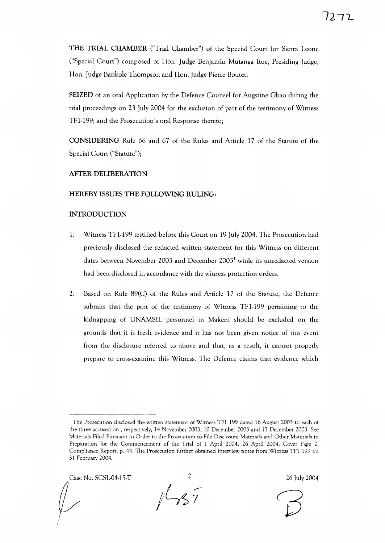THE TRIAL CHAMBER ("Trial Chamber") of the Special Court for Sierra Leone ("Special Court") composed of Hon. Judge Benjamin Mutanga Itoe, Presiding Judge, Hon. Judge Bankole Thompson and Hon. Judge Pierre Boutet;

SEIZED of an oral Application by the Defence Counsel for Augstine Gbao during the trial proceedings on 23 July 2004 for the exclusion of part of the testimony of Witness TF1-199; and the Prosecution's oral Response thereto;

CONSIDERING Rule 66 and 67 of the Rules and Article 17 of the Statute of the Special Court ("Statute");

#### AFTER DELIBERATION

## HEREBY ISSUES THE FOLLOWING RULING:

## INTRODUCTION

- 1. Witness TF1-199 testified before this Court on 19 July 2004. The Prosecution had previously disclosed the redacted written statement for this Witness on different dates between November 2003 and December 2003<sup>1</sup> while its unredacted version had been disclosed in accordance with the witness protection orders.
- 2. Based on Rule 89(C) of the Rules and Article 17 of the Statute, the Defence submits that the part of the testimony of Witness TF1-199 pertaining to the kidnapping of UNAMSIL personnel in Makeni should be excluded on the grounds that it is fresh evidence and it has not been given notice of this event from the disclosure referred to above and that, as a result, it cannot properly prepare to cross-examine this Witness. The Defence claims that evidence which

Case No. SCSL-04-15-T  $\frac{2}{3}$  26 July 2004

<sup>&</sup>lt;sup>1</sup> The Prosecution disclosed the written statement of Witness TF1 199 dated 16 August 2003 to each of the three accused on , respectively, 14 November 2003, 10 December 2003 and 17 December 2003. See Materials Filed Pursuant to Order to the Prosecution to File Disclosure Materials and Other Materials in Preparation for the Commencement of the Trial of 1 April 2004, 26 April 2004, Cover Page 2, Compliance Report, p. 44. The Prosecution further obtained interview notes from Witness TFI 199 on 31 February 2004.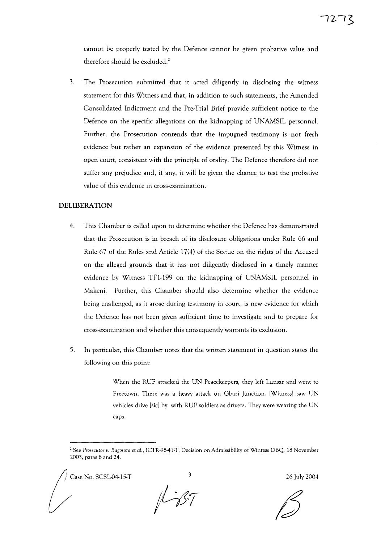cannot be properly tested by the Defence cannot be given probative value and therefore should be excluded.<sup>2</sup>

3. The Prosecution submitted that it acted diligently in disclosing the witness statement for this Witness and that, in addition to such statements, the Amended Consolidated Indictment and the Pre-Trial Brief provide sufficient notice to the Defence on the specific allegations on the kidnapping of UNAMSIL personnel. Further, the Prosecution contends that the impugned testimony is not fresh evidence but rather an expansion of the evidence presented by this Witness in open court, consistent with the principle of orality. The Defence therefore did not suffer any prejudice and, if any, it will be given the chance to test the probative value of this evidence in cross-examination.

### **DELIBERATION**

- 4. This Chamber is called upon to determine whether the Defence has demonstrated that the Prosecution is in breach of its disclosure obligations under Rule 66 and Rule 67 of the Rules and Article 17(4) of the Statue on the rights of the Accused on the alleged grounds that it has not diligently disclosed in a timely manner evidence by Witness TFI-199 on the kidnapping of UNAMSIL personnel in Makeni. Further, this Chamber should also determine whether the evidence being challenged, as it arose during testimony in court, is new evidence for which the Defence has not been given sufficient time to investigate and to prepare for cross-examination and whether this consequently warrants its exclusion.
- 5. In particular, this Chamber notes that the written statement in question states the following on this point:

When the RUF attacked the UN Peacekeepers, they left Lunsar and went to Freetown. There was a heavy attack on Gbari Junction. [Witness] saw UN vehicles drive [sic] by with RUF soldiers as drivers. They were wearing the UN caps.

/ Case No. SCSL04-15·T <sup>3</sup> 26 July 2004

 $157$ 

<sup>&</sup>lt;sup>2</sup> See Prosecutor v. Bagosora et al., ICTR-98-41-T, Decision on Admissibility of Wintess DBQ, 18 November 2003, paras 8 and 24.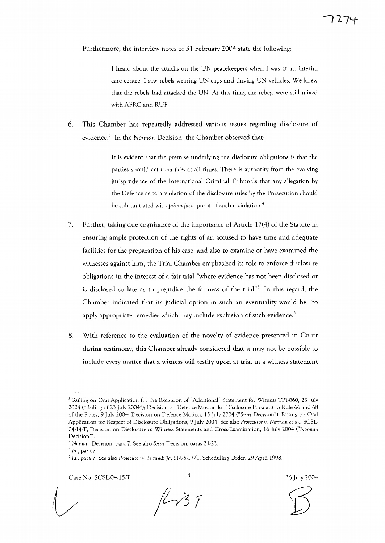Furthermore, the interview notes of 31 February 2004 state the following:

I heard about the attacks on the UN peacekeepers when I was at an interim care centre. I saw rebels wearing UN caps and driving UN vehicles. We knew that the rebels had attacked the UN. At this time, the rebe;s were still mixed with AFRC and RUF.

6. This Chamber has repeatedly addressed various issues regarding disclosure of evidence.<sup>3</sup> In the *Norman* Decision, the Chamber observed that:

> It is evident that the premise underlying the disclosure obligations is that the parties should act *bona fides* at all times. There is authority from the evolving jurisprudence of the International Criminal Tribunals that any allegation by the Defence as to a violation of the disclosure rules by the Prosecution should be substantiated with *prima facie* proof of such a violation.<sup>4</sup>

- 7. Further, taking due cognizance of the importance of Article 17(4) of the Statute in ensuring ample protection of the rights of an accused to have time and adequate facilities for the preparation of his case, and also to examine or have examined the witnesses against him, the Trial Chamber emphasized its role to enforce disclosure obligations in the interest of a fair trial "where evidence has not been disclosed or is disclosed so late as to prejudice the fairness of the trial"<sup>5</sup>. In this regard, the Chamber indicated that its judicial option in such an eventuality would be "to apply appropriate remedies which may include exclusion of such evidence.<sup>6</sup>
- 8. With reference to the evaluation of the novelty of evidence presented in Court during testimony, this Chamber already considered that it may not be possible to include every matter that a witness will testify upon at trial in a witness statement

Case No. SCSLD4-15-T <sup>4</sup>

,...- I

26 July 2004

<sup>&</sup>lt;sup>3</sup> Ruling on Oral Application for the Exclusion of "Additional" Statement for Witness TF1-060, 23 July 2004 ("Ruling of 23 July 2004"); Decision on Defence Motion for Disclosure Pursuant to Rule 66 and 68 of the Rules, 9 July 2004; Decision on Defence Motion, 15 July 2004 *("Sesay* Decision"); Ruling on Oral Application for Respect of Disclosure Obligations, 9 July 2004. See also *Prosecutor v. Norman* et aL, SCSL-04-14-T, Decision on Disclosure of Witness Statements and Cross-Examination, 16 July 2004 *("Norman* Decision").

<sup>4</sup> *Norman* Decision, para 7. See also *Sesay* Decision, paras 21-22.

*<sup>5</sup> Id.,* para. 7.

<sup>6</sup> *Id.,* para 7. See also *Prosecutor 'u. Furundzija,* IT-95-17/1, Scheduling Order, 29 April 1998.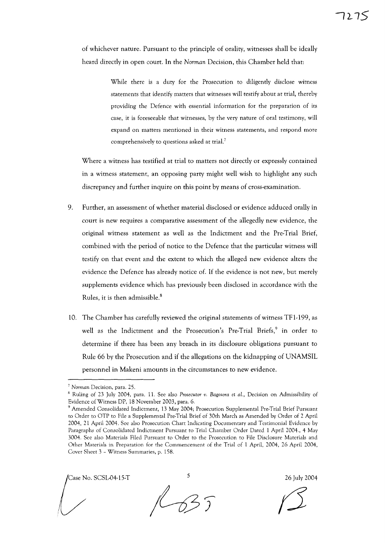of whichever nature. Pursuant to the principle of orality, witnesses shall be ideally heard directly in open court. In the *Norman* Decision, this Chamber held that:

> While there is a duty for the Prosecution to diligently disclose witness statements that identify matters that witnesses will testify about at trial, thereby providing the Defence with essential information for the preparation of its case, it is foreseeable that witnesses, by the very nature of oral testimony, will expand on matters mentioned in their witness statements, and respond more comprehensively to questions asked at trial.<sup>7</sup>

Where a witness has testified at trial to matters not directly or expressly contained in a witness statement, an opposing party might well wish to highlight any such discrepancy and further inquire on this point by means of cross-examination.

- 9. Further, an assessment of whether material disclosed or evidence adduced orally in court is new requires a comparative assessment of the allegedly new evidence, the original witness statement as well as the Indictment and the Pre-Trial Brief, combined with the period of notice to the Defence that the particular witness will testify on that event and the extent to which the alleged new evidence alters the evidence the Defence has already notice of. If the evidence is not new, but merely supplements evidence which has previously been disclosed in accordance with the Rules, it is then admissible.<sup>8</sup>
- 10. The Chamber has carefully reviewed the original statements of witness TFl-199, as well as the Indictment and the Prosecution's Pre-Trial Briefs,<sup>9</sup> in order to determine if there has been any breach in its disclosure obligations pursuant to Rule 66 by the Prosecution and if the allegations on the kidnapping of UNAMSIL personnel in Makeni amounts in the circumstances to new evidence.

Case No. SCSL-04-15-T 5 26 July 2004

*<sup>7</sup> Norman* Decision, para. 25.

<sup>8</sup> Ruling of 23 July 2004, para. 11. See also *Prosecutor v. Bagosora* et *aL,* Decision on Admissibility of Evidence of Witness DP, 18 November 2003, para. 6.

<sup>9</sup> Amended Consolidated Indictment, 13 May 2004; Prosecution Supplemental Pre-Trial Brief Pursuant to Order to OTP to File a Supplemental Pre-Trial Brief of 30th March as Amended by Order of 2 April 2004,21 April 2004. See also Prosecution Chart Indicating Documentary and Testimonial Evidence by Paragraphs of Consolidated Indictment Pursuant to Trial Chamber Order Dated 1 April 2004., 4 May 3004. See also Materials Filed Pursuant to Order to the Prosecution to File Disclosure Materials and Other Materials in Preparation for the Commencement of the Trial of 1 April, 2004, 26 April 2004, Cover Sheet 3 - Witness Summaries, p. 158.